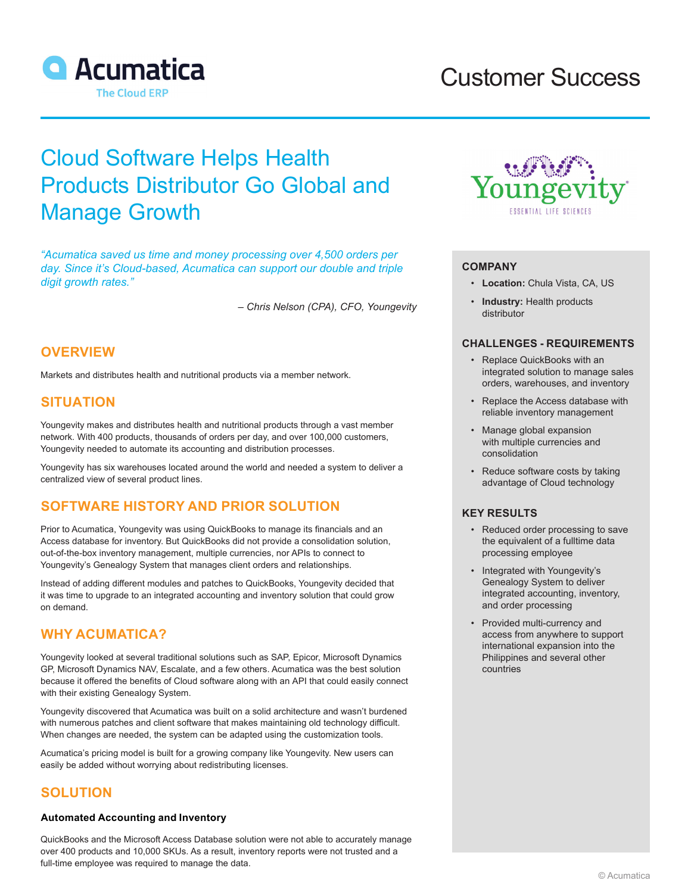

# Customer Success

# Cloud Software Helps Health Products Distributor Go Global and Manage Growth

*"Acumatica saved us time and money processing over 4,500 orders per day. Since it's Cloud-based, Acumatica can support our double and triple digit growth rates."*

*– Chris Nelson (CPA), CFO, Youngevity*

## **OVERVIEW**

Markets and distributes health and nutritional products via a member network.

### **SITUATION**

Youngevity makes and distributes health and nutritional products through a vast member network. With 400 products, thousands of orders per day, and over 100,000 customers, Youngevity needed to automate its accounting and distribution processes.

Youngevity has six warehouses located around the world and needed a system to deliver a centralized view of several product lines.

## **SOFTWARE HISTORY AND PRIOR SOLUTION**

Prior to Acumatica, Youngevity was using QuickBooks to manage its financials and an Access database for inventory. But QuickBooks did not provide a consolidation solution, out-of-the-box inventory management, multiple currencies, nor APIs to connect to Youngevity's Genealogy System that manages client orders and relationships.

Instead of adding different modules and patches to QuickBooks, Youngevity decided that it was time to upgrade to an integrated accounting and inventory solution that could grow on demand.

## **WHY ACUMATICA?**

Youngevity looked at several traditional solutions such as SAP, Epicor, Microsoft Dynamics GP, Microsoft Dynamics NAV, Escalate, and a few others. Acumatica was the best solution because it offered the benefits of Cloud software along with an API that could easily connect with their existing Genealogy System.

Youngevity discovered that Acumatica was built on a solid architecture and wasn't burdened with numerous patches and client software that makes maintaining old technology difficult. When changes are needed, the system can be adapted using the customization tools.

Acumatica's pricing model is built for a growing company like Youngevity. New users can easily be added without worrying about redistributing licenses.

### **SOLUTION**

#### **Automated Accounting and Inventory**

QuickBooks and the Microsoft Access Database solution were not able to accurately manage over 400 products and 10,000 SKUs. As a result, inventory reports were not trusted and a full-time employee was required to manage the data.



#### **COMPANY**

- **Location:** Chula Vista, CA, US
- **Industry:** Health products distributor

#### **CHALLENGES - REQUIREMENTS**

- Replace QuickBooks with an integrated solution to manage sales orders, warehouses, and inventory
- Replace the Access database with reliable inventory management
- Manage global expansion with multiple currencies and consolidation
- Reduce software costs by taking advantage of Cloud technology

#### **KEY RESULTS**

- Reduced order processing to save the equivalent of a fulltime data processing employee
- Integrated with Youngevity's Genealogy System to deliver integrated accounting, inventory, and order processing
- Provided multi-currency and access from anywhere to support international expansion into the Philippines and several other countries